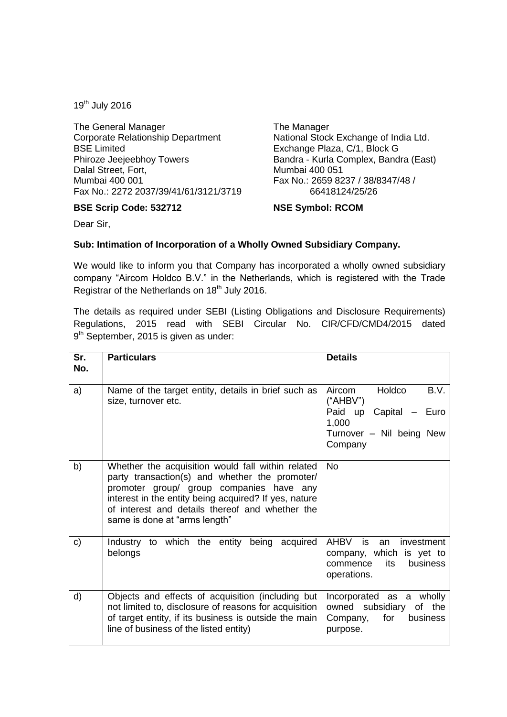19th July 2016

The General Manager Corporate Relationship Department BSE Limited Phiroze Jeejeebhoy Towers Dalal Street, Fort, Mumbai 400 001 Fax No.: 2272 2037/39/41/61/3121/3719

## **BSE Scrip Code: 532712**

The Manager National Stock Exchange of India Ltd. Exchange Plaza, C/1, Block G Bandra - Kurla Complex, Bandra (East) Mumbai 400 051 Fax No.: 2659 8237 / 38/8347/48 / 66418124/25/26

## **NSE Symbol: RCOM**

Dear Sir,

## **Sub: Intimation of Incorporation of a Wholly Owned Subsidiary Company.**

We would like to inform you that Company has incorporated a wholly owned subsidiary company "Aircom Holdco B.V." in the Netherlands, which is registered with the Trade Registrar of the Netherlands on 18<sup>th</sup> July 2016.

The details as required under SEBI (Listing Obligations and Disclosure Requirements) Regulations, 2015 read with SEBI Circular No. CIR/CFD/CMD4/2015 dated 9<sup>th</sup> September, 2015 is given as under:

| Sr.<br>No. | <b>Particulars</b>                                                                                                                                                                                                                                                                           | <b>Details</b>                                                                                                 |
|------------|----------------------------------------------------------------------------------------------------------------------------------------------------------------------------------------------------------------------------------------------------------------------------------------------|----------------------------------------------------------------------------------------------------------------|
| a)         | Name of the target entity, details in brief such as<br>size, turnover etc.                                                                                                                                                                                                                   | Holdco<br>B.V.<br>Aircom<br>("AHBV")<br>Paid up Capital - Euro<br>1,000<br>Turnover - Nil being New<br>Company |
| b)         | Whether the acquisition would fall within related<br>party transaction(s) and whether the promoter/<br>promoter group/ group companies have any<br>interest in the entity being acquired? If yes, nature<br>of interest and details thereof and whether the<br>same is done at "arms length" | <b>No</b>                                                                                                      |
| C)         | Industry to which the entity being acquired<br>belongs                                                                                                                                                                                                                                       | AHBV is<br>investment<br>an<br>company, which is yet to<br><b>business</b><br>commence<br>its<br>operations.   |
| d)         | Objects and effects of acquisition (including but<br>not limited to, disclosure of reasons for acquisition<br>of target entity, if its business is outside the main<br>line of business of the listed entity)                                                                                | Incorporated as a wholly<br>owned subsidiary<br>of the<br>Company,<br>for<br>business<br>purpose.              |